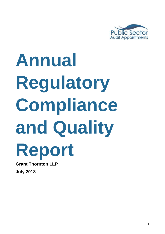

# **Annual Regulatory Compliance and Quality Report**

**Grant Thornton LLP July 2018**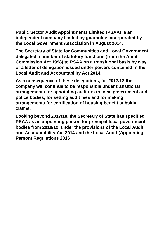**Public Sector Audit Appointments Limited (PSAA) is an independent company limited by guarantee incorporated by the Local Government Association in August 2014.** 

**The Secretary of State for Communities and Local Government delegated a number of statutory functions (from the Audit Commission Act 1998) to PSAA on a transitional basis by way of a letter of delegation issued under powers contained in the Local Audit and Accountability Act 2014.** 

**As a consequence of these delegations, for 2017/18 the company will continue to be responsible under transitional arrangements for appointing auditors to local government and police bodies, for setting audit fees and for making arrangements for certification of housing benefit subsidy claims.** 

**Looking beyond 2017/18, the Secretary of State has specified PSAA as an appointing person for principal local government bodies from 2018/19, under the provisions of the Local Audit and Accountability Act 2014 and the Local Audit (Appointing Person) Regulations 2016**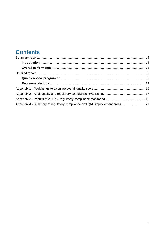## **Contents**

| Appendix 4 - Summary of regulatory compliance and QRP improvement areas  21 |  |
|-----------------------------------------------------------------------------|--|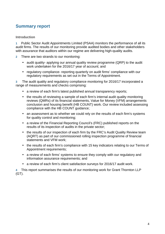## **Summary report**

#### **Introduction**

**1** Public Sector Audit Appointments Limited (PSAA) monitors the performance of all its audit firms. The results of our monitoring provide audited bodies and other stakeholders with assurance that auditors within our regime are delivering high-quality audits.

- **2** There are two strands to our monitoring:
	- audit quality- applying our annual quality review programme (QRP) to the audit work undertaken for the 2016/17 year of account; and
	- regulatory compliance- reporting quarterly on audit firms' compliance with our regulatory requirements as set out in the Terms of Appointment.

**3** The audit quality and regulatory compliance monitoring for 2016/17 incorporated a range of measurements and checks comprising:

- a review of each firm's latest published annual transparency reports;
- the results of reviewing a sample of each firm's internal audit quality monitoring reviews (QMRs) of its financial statements, Value for Money (VFM) arrangements conclusion and housing benefit (HB COUNT) work. Our review included assessing compliance with the HB COUNT guidance;
- an assessment as to whether we could rely on the results of each firm's systems for quality control and monitoring;
- a review of the Financial Reporting Council's (FRC) published reports on the results of its inspection of audits in the private sector;
- the results of our inspection of each firm by the FRC's Audit Quality Review team (AQRT) as part of our commissioned rolling inspection programme of financial statements and VFM work;
- the results of each firm's compliance with 15 key indicators relating to our Terms of Appointment requirements;
- a review of each firms' systems to ensure they comply with our regulatory and information assurance requirements; and
- a review of each firm's client satisfaction surveys for 2016/17 audit work.

**4** This report summarises the results of our monitoring work for Grant Thornton LLP (GT).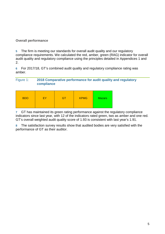#### **Overall performance**

**5** The firm is meeting our standards for overall audit quality and our regulatory compliance requirements. We calculated the red, amber, green (RAG) indicator for overall audit quality and regulatory compliance using the principles detailed in Appendices 1 and 2.

**6** For 2017/18, GT's combined audit quality and regulatory compliance rating was amber.

#### Figure 1: **2018 Comparative performance for audit quality and regulatory compliance**

| <b>BDO</b> | EY | GT | <b>KPMG</b> | <b>Mazars</b> |
|------------|----|----|-------------|---------------|
|------------|----|----|-------------|---------------|

**7** GT has maintained its green rating performance against the regulatory compliance indicators since last year, with 12 of the indicators rated green, two as amber and one red. GT's overall weighted audit quality score of 1.93 is consistent with last year's 1.91.

**8** The satisfaction survey results show that audited bodies are very satisfied with the performance of GT as their auditor.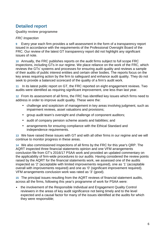## **Detailed report**

#### **Quality review programme**

#### FRC Inspection

**9** Every year each firm provides a self-assessment in the form of a transparency report issued in accordance with the requirements of the Professional Oversight Board of the FRC. Our review of the latest GT transparency report did not highlight any significant issues of note.

**10** Annually, the FRC publishes reports on the audit firms subject to full scope FRC inspections, including GTs in our regime. We place reliance on the work of the FRC, which reviews the GTs' systems and processes for ensuring audit quality and reviews a sample of their audits of public interest entities and certain other bodies. The reports focus on the key areas requiring action by the firm to safeguard and enhance audit quality. They do not seek to provide a balanced scorecard of the quality of a firm's audit work.

**11** In its latest public report on GT, the FRC reported on eight engagement reviews. Two audits were identified as requiring significant improvement, one less than last year.

**12** From its assessment of all firms, the FRC has identified key issues which firms need to address in order to improve audit quality. These were the:

- challenge and scepticism of management in key areas involving judgment, such as impairment reviews, asset valuations and provisions;
- group audit team's oversight and challenge of component auditors;
- audit of company pension scheme assets and liabilities; and
- arrangements for ensuring compliance with the Ethical Standard and independence requirements.

**13** We have raised these issues with GT and with all other firms in our regime and we will continue to monitor progress in these areas.

**14** We also commissioned inspections of all firms by the FRC for this year's QRP. The AQRT inspected three financial statements opinion and one VFM arrangements conclusion file from GT's 2016/17 PSAA work and provided an updated commentary on the applicability of firm-wide procedures to our audits. Having considered the review points raised by the AQRT for the financial statements work, we assessed one of the audits inspected as '2' (acceptable with limited improvements required), one as '1' (acceptable overall with improvements required) and one as '0' (significant improvement required). VFM arrangements conclusion work was rated as '3' (good).

**15** The principal issues resulting from the AQRT reviews of financial statement audits, across all the firms, following this year's programme of work for PSAA were:

• the involvement of the Responsible Individual and Engagement Quality Control reviewers in the areas of key audit significance not being timely and to the level expected and a causal factor for many of the issues identified at the audits for which they were responsible;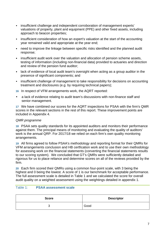- insufficient challenge and independent corroboration of management experts' valuations of property, plant and equipment (PPE) and other fixed assets, including approach to beacon properties;
- insufficient consideration of how an expert's valuation at the start of the accounting year remained valid and appropriate at the year end;
- need to improve the linkage between specific risks identified and the planned audit response;
- insufficient audit work over the valuation and allocation of pension scheme assets, testing of information (including non-financial data) provided to actuaries and direction and review of the pension fund auditor;
- lack of evidence of local audit team's oversight when acting as a group auditor in the presence of significant components; and
- insufficient challenge of management to take responsibility for decisions on accounting treatment and disclosures (e.g. by requiring technical papers);
- **16** In respect of VFM arrangements work, the AQRT reported:
- a lack of evidence relating to audit team's discussions with non-finance staff and senior management.

**17** We have combined our scores for the AQRT inspections for PSAA with the firm's QMR scores in the relevant sections in the rest of this report. These improvement points are included in Appendix 4.

#### QMR programme

**18** PSAA sets quality standards for its appointed auditors and monitors their performance against them. The principal means of monitoring and evaluating the quality of auditors' work is the annual QRP. For 2017/18 we relied on each firm's own quality monitoring arrangements.

**19** All firms agreed to follow PSAA's methodology and reporting format for their QMRs for VFM arrangements conclusion and HB certfication work and to use their own methodology for assessing work on the financial statements (converting the financial statements results to our scoring system). We concluded that GT's QMRs were sufficiently detailed and rigorous for us to place reliance and determine scores on all of the reviews provided by the firm.

**20** Each firm scored their QMRs using a common four-point scale, with 3 being the highest and 0 being the lowest. A score of 1 is our benchmark for acceptable performance. The full assessment scale is detailed in Table 1 and we calculated the score for overall audit quality on a weighted assessment using the weightings detailed in appendix 1.

#### Table 1: **PSAA assessment scale**

| <b>Score</b> | <b>Descriptor</b> |
|--------------|-------------------|
| ◡            | Good              |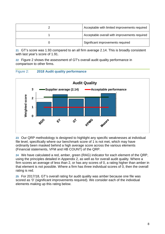| Acceptable with limited improvements required |
|-----------------------------------------------|
| Acceptable overall with improvements required |
| Significant improvements required             |

**21** GT's score was 1.93 compared to an all firm average 2.14. This is broadly consistent with last year's score of 1.91.

**22** Figure 2 shows the assessment of GT's overall audit quality performance in comparison to other firms.





**23** Our QRP methodology is designed to highlight any specific weaknesses at individual file level, specifically where our benchmark score of 1 is not met, which may have ordinarily been masked behind a high average score across the various elements (Financial statements, VFM and HB COUNT) of the QRP.

**24** We have calculated a red, amber, green (RAG) indicator for each element of the QRP, using the principles detailed in Appendix 2, as well as for overall audit quality. Where a firm scores an average of less than 2, or has any scores of 0, a rating higher than amber in that element is not possible. Where a firm has three individual scores of 0, then the overall rating is red.

**25** For 2017/18, GT's overall rating for audit quality was amber because one file was scored as '0' (significant improvements required). We consider each of the individual elements making up this rating below.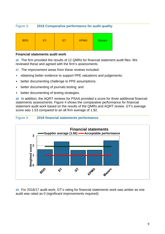#### Figure 3: **2018 Comparative performance for audit quality**

| <b>BDO</b><br><b>KPMG</b><br>EY<br><b>Mazars</b><br>GN |
|--------------------------------------------------------|
|--------------------------------------------------------|

#### **Financial statements audit work**

**26** The firm provided the results of 12 QMRs for financial statement audit files. We reviewed these and agreed with the firm's assessments.

- **27** The improvement areas from these reviews included:
- obtaining better evidence to support PPE valuations and judgements;
- better documenting challenge to PPE assumptions;
- better documenting of journals testing; and
- better documenting of testing strategies.

**28** In addition, the AQRT reviews for PSAA provided a score for three additional financial statements assessments. Figure 4 shows the comparative performance for financial statement audit work based on the results of the QMRs and AQRT review. GT's average score was 1.53 compared to an all firm average of 1.92.

#### Figure 4: **2018 financial statements performance**



**29** For 2016/17 audit work, GT's rating for financial statements work was amber as one audit was rated as 0 (significant improvements required).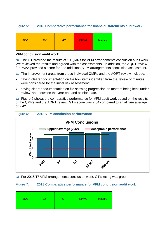#### Figure 5: **2018 Comparative performance for financial statements audit work**

![](_page_9_Figure_1.jpeg)

#### **VFM conclusion audit work**

**30** The GT provided the results of 10 QMRs for VFM arrangements conclusion audit work. We reviewed the results and agreed with the assessments. In addition, the AQRT review for PSAA provided a score for one additional VFM arrangements conclusion assessment.

- **31** The improvement areas from these individual QMRs and the AQRT review included:
- having clearer documentation on file how items identified from the review of minutes were considered for the initial risk assessment;
- having clearer documentation on file showing progression on matters being kept 'under review' and between the year end and opinion date.

**32** Figure 6 shows the comparative performance for VFM audit work based on the results of the QMRs and the AQRT review. GT's score was 2.64 compared to an all firm average of 2.42.

![](_page_9_Figure_8.jpeg)

![](_page_9_Figure_9.jpeg)

**33** For 2016/17 VFM arrangements conclusion work, GT's rating was green.

#### Figure 7: **2018 Comparative performance for VFM conclusion audit work**

| <b>BDO</b> | FΥ | œ | <b>KPMG</b> | <b>Mazars</b> |
|------------|----|---|-------------|---------------|
|------------|----|---|-------------|---------------|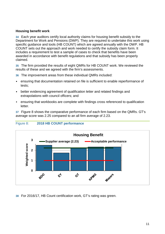#### **Housing benefit work**

**34** Each year auditors certify local authority claims for housing benefit subsidy to the Department for Work and Pensions (DWP). They are required to undertake this work using specific guidance and tools (HB COUNT) which are agreed annually with the DWP. HB COUNT sets out the approach and work needed to certify the subsidy claim form. It includes a requirement to test a sample of cases to check that benefits have been awarded in accordance with benefit regulations and that subsidy has been properly claimed.

**35** The firm provided the results of eight QMRs for HB COUNT work. We reviewed the results of these and we agreed with the firm's assessments.

- **36** The improvement areas from these individual QMRs included:
- ensuring that documentation retained on file is sufficient to enable reperformance of tests;
- better evidencing agreement of qualification letter and related findings and extrapolations with council officers; and
- ensuring that workbooks are complete with findings cross referenced to qualification letter.

**37** Figure 8 shows the comparative performance of each firm based on the QMRs. GT's average score was 2.25 compared to an all firm average of 2.23.

![](_page_10_Figure_8.jpeg)

#### Figure 8: **2018 HB COUNT performance**

**38** For 2016/17, HB Count certification work, GT's rating was green.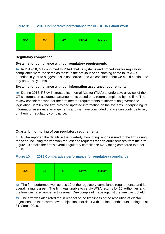#### Figure 9: **2018 Comparative performance for HB COUNT audit work**

| <b>BDO</b> | EY | - 1 | <b>KPMG</b> | <b>Mazars</b> |
|------------|----|-----|-------------|---------------|
|------------|----|-----|-------------|---------------|

#### **Regulatory compliance**

#### **Systems for compliance with our regulatory requirements**

**39** In 2017/18, GT confirmed to PSAA that its systems and procedures for regulatory compliance were the same as those in the previous year. Nothing came to PSAA's attention in year to suggest this is not correct, and we concluded that we could continue to rely on GT's systems.

#### **Systems for compliance with our information assurance requirements**

**40** During 2015, PSAA instructed its Internal Auditor (TIAA) to undertake a review of the GT's information assurance arrangements based on a return completed by the firm. The review considered whether the firm met the requirements of information governance legislation. In 2017 the firm provided updated information on the systems underpinning its information assurance arrangements and we have concluded that we can continue to rely on them for regulatory compliance.

#### **Quarterly monitoring of our regulatory requirements**

**41** PSAA reported the details in the quarterly monitoring reports issued to the firm during the year, including fee variation request and requests for non-audit services from the firm. Figure 10 details the firm's overall regulatory compliance RAG rating compared to other firms.

Figure 10: **2018 Comparative performance for regulatory compliance** 

**42** The firm performed well across 12 of the regulatory compliance requirements, and its overall rating is green. The firm was unable to certify WGA returns for 15 authorities and the firm was rated amber in this area. One complaint made against the firm was upheld.

**43** The firm was also rated red in respect of the timeliness of the resolution of elector objections, as there were seven objections not dealt with in nine months outstanding as at 31 March 2018.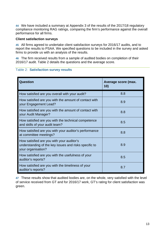**44** We have included a summary at Appendix 3 of the results of the 2017/18 regulatory compliance monitoring RAG ratings, comparing the firm's performance against the overall performance for all firms.

#### **Client satisfaction surveys**

**45** All firms agreed to undertake client satisfaction surveys for 2016/17 audits, and to report the results to PSAA. We specified questions to be included in the survey and asked firms to provide us with an analysis of the results.

**46** The firm received results from a sample of audited bodies on completion of their 2016/17 audit. Table 2 details the questions and the average score.

#### Table 2: **Satisfaction survey results**

| Question                                                                                                                 | Average score (max.<br>10) |
|--------------------------------------------------------------------------------------------------------------------------|----------------------------|
| How satisfied are you overall with your audit?                                                                           | 8.8                        |
| How satisfied are you with the amount of contact with<br>your Engagement Lead?                                           | 8.9                        |
| How satisfied are you with the amount of contact with<br>your Audit Manager?                                             | 8.8                        |
| How satisfied are you with the technical competence<br>and skills of your audit team?                                    | 8.5                        |
| How satisfied are you with your auditor's performance<br>at committee meetings?                                          | 8.8                        |
| How satisfied are you with your auditor's<br>understanding of the key issues and risks specific to<br>your organisation? | 8.9                        |
| How satisfied are you with the usefulness of your<br>auditor's reports?                                                  | 8.5                        |
| How satisfied are you with the timeliness of your<br>auditor's reports?                                                  | 8.7                        |

**47** These results show that audited bodies are, on the whole, very satisfied with the level of service received from GT and for 2016/17 work, GT's rating for client satisfaction was green.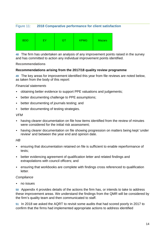#### Figure 11: **2018 Comparative performance for client satisfaction**

| <b>BDO</b> | EY | GΤ | <b>KPMG</b> | <b>Mazars</b> |
|------------|----|----|-------------|---------------|
|------------|----|----|-------------|---------------|

**48** The firm has undertaken an analysis of any improvement points raised in the survey and has committed to action any individual improvement points identified.

#### **Recommendations**

#### **Recommendations arising from the 2017/18 quality review programme**

**49** The key areas for improvement identified this year from file reviews are noted below, as taken from the body of this report:

#### Financial statements

- obtaining better evidence to support PPE valuations and judgements;
- better documenting challenge to PPE assumptions;
- better documenting of journals testing; and
- better documenting of testing strategies.

#### VFM

- having clearer documentation on file how items identified from the review of minutes were considered for the initial risk assessment;
- having clearer documentation on file showing progression on matters being kept 'under review' and between the year end and opinion date.

#### $H$ B

- ensuring that documentation retained on file is sufficient to enable reperformance of tests;
- better evidencing agreement of qualification letter and related findings and extrapolations with council officers; and
- ensuring that workbooks are complete with findings cross referenced to qualification letter.

#### **Compliance**

• no issues

**50** Appendix 4 provides details of the actions the firm has, or intends to take to address these improvement areas. We understand the findings from the QMR will be considered by the firm's quality team and then communicated to staff.

**51** In 2018 we asked the AQRT to revisit some audits that had scored poorly in 2017 to confirm that the firms had implemented appropriate actions to address identified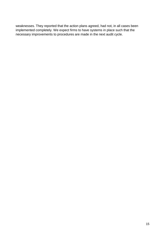weaknesses. They reported that the action plans agreed, had not, in all cases been implemented completely. We expect firms to have systems in place such that the necessary improvements to procedures are made in the next audit cycle.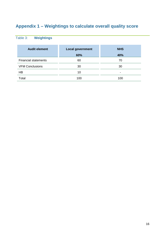## **Appendix 1 – Weightings to calculate overall quality score**

## Table 3: **Weightings**

| <b>Audit element</b>        | <b>Local government</b> | <b>NHS</b> |
|-----------------------------|-------------------------|------------|
|                             | 60%                     | 40%        |
| <b>Financial statements</b> | 60                      | 70         |
| <b>VFM Conclusions</b>      | 30                      | 30         |
| HB                          | 10                      | -          |
| Total                       | 100                     | 100        |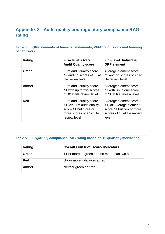## **Appendix 2 - Audit quality and regulatory compliance RAG rating**

Table 4: **QRP elements of financial statements, VFM conclusions and housing benefit work.** 

| Rating     | <b>Firm level: Overall</b><br><b>Audit Quality score</b>                                                                        | <b>Firm level: Individual</b><br><b>QRP</b> element                                                                  |
|------------|---------------------------------------------------------------------------------------------------------------------------------|----------------------------------------------------------------------------------------------------------------------|
| Green      | Firm audit quality score<br>$\geq$ 2 and no scores of '0' at<br>file review level                                               | Average element score<br>$\geq$ 2 and no scores of '0' at<br>file review level                                       |
| Amber      | Firm audit quality score<br>$\geq$ 1 with up to two scores<br>of '0' at file review level                                       | Average element score<br>$\geq$ 1 with up to one score<br>of '0' at file review level                                |
| <b>Red</b> | Firm audit quality score<br>$<$ 1, or Firm audit quality<br>score ≥1 but three or<br>more scores of '0' at file<br>review level | Average element score<br><1, or Average element<br>score ≥1 but two or more<br>scores of '0' at file review<br>level |

#### Table 5: **Regulatory compliance RAG rating based on 15 quarterly monitoring**

| Rating     | <b>Overall Firm level score- indicators</b>      |
|------------|--------------------------------------------------|
| Green      | 11 or more at green and no more than two at red. |
| <b>Red</b> | Six or more indicators at red.                   |
| Amber      | Neither green nor red.                           |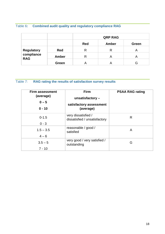## Table 6**: Combined audit quality and regulatory compliance RAG**

|                                        |              | <b>QRP RAG</b> |       |       |
|----------------------------------------|--------------|----------------|-------|-------|
|                                        |              | <b>Red</b>     | Amber | Green |
|                                        | Red          | R              | R     | Α     |
| Regulatory<br>compliance<br><b>RAG</b> | <b>Amber</b> | R              | A     |       |
|                                        | Green        |                |       |       |

## Table 7: **RAG rating the results of satisfaction survey results**

| <b>Firm assessment</b><br>(average)<br>$0 - 5$<br>$0 - 10$ | <b>Firm</b><br>unsatisfactory-<br>satisfactory assessment<br>(average) | <b>PSAA RAG rating</b> |
|------------------------------------------------------------|------------------------------------------------------------------------|------------------------|
| $0 - 1.5$<br>$0 - 3$                                       | very dissatisfied /<br>dissatisfied / unsatisfactory                   | R                      |
| $1.5 - 3.5$<br>$4 - 6$                                     | reasonable / good /<br>satisfied                                       | A                      |
| $3.5 - 5$<br>$7 - 10$                                      | very good / very satisfied /<br>outstanding                            | G                      |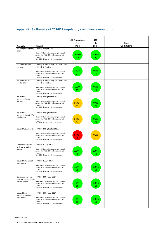### **Appendix 3 - Results of 2016/17 regulatory compliance monitoring**

| <b>Activity</b>                                                    | <b>Target</b>                                                                                                                                                                                       | <b>All Suppliers</b><br>%<br>(no.) | GТ<br>%<br>(no.) | Firm<br><b>Comments</b> |
|--------------------------------------------------------------------|-----------------------------------------------------------------------------------------------------------------------------------------------------------------------------------------------------|------------------------------------|------------------|-------------------------|
| Issue of planning (fee)                                            | 100% by 30 April 2017.                                                                                                                                                                              |                                    |                  |                         |
| letters.                                                           | Green>95.01% delivered or only 1 missed<br>Amber 90.01% to 95% delivered or only 2<br>missed<br>Red<90% delivered of 3 or more missed                                                               | 100%<br>(0)                        | 100%<br>(0)      |                         |
| Issue of NHS audit<br>opinions.                                    | 100% by 31 May 2017 (CCG) and 1 June<br>2017 (NHS Trusts).<br>Green>95.01% delivered or only 1 missed<br>Amber 90.01% to 95% delivered or only 2<br>missed<br>Red<90% delivered of 3 or more missed | 100%<br>(1)                        | 99%<br>(1)       |                         |
| Issue of NHS VFM<br>conclusions.                                   | 100% by 31 May 2017 (CCG) and 1 June<br>2017 (NHS Trusts).<br>Green>95.01% delivered or only 1 missed<br>Amber 90.01% to 95% delivered or only 2<br>missed<br>Red<90% delivered of 3 or more missed | 100%<br>(1)                        | 99%<br>(1)       |                         |
| Issue of local<br>government audit<br>opinions.                    | 100% by 30 September 2017.<br>Green>95.01% delivered or only 1 missed<br>Amber 90.01% to 95% delivered or only 2<br>missed<br>Red<90% delivered of 3 or more missed                                 | 95%<br>(27)                        | 97%<br>(5)       |                         |
| Issue of local<br>government audit VFM<br>conclusions.             | 100% by 30 September 2017.<br>Green>95.01% delivered or only 1 missed<br>Amber 90.01% to 95% delivered or only 2<br>missed<br>Red<90% delivered of 3 or more missed                                 | 94%<br>(31)                        | 95%<br>(8)       |                         |
| Issue of WGA reports.                                              | 100% by 29 September 2017.<br>Green>95.01% delivered or only 1 missed<br>Amber 90.01% to 95% delivered or only 2<br>missed<br>Red<90% delivered of 3 or more missed                                 | 87%<br>(63)                        | 91%<br>(15)      |                         |
| Confirmation of final<br>NHS fee to audited<br>bodies              | 100% by 31 July 2017<br>Green>95.01% delivered or only 1 missed<br>Amber 90.01% to 95% delivered or only 2<br>missed<br>Red<90% delivered of 3 or more missed                                       | 100%<br>(0)                        | 100%<br>(0)      |                         |
| Issue of NHS annual<br>audit letters.                              | 100% by 31 July 2017<br>Green>95.01% delivered or only 1 missed<br>Amber 90.01% to 95% delivered or only 2<br>missed<br>Red<90% delivered of 3 or more missed                                       | 100%<br>(0)                        | 100%<br>(0)      |                         |
| Confirmation of final<br>local government fee to<br>audited bodies | 100% by 30 October 2017<br>Green>95.01% delivered or only 1 missed<br>Amber 90.01% to 95% delivered or only 2<br>missed<br>Red<90% delivered of 3 or more missed                                    | 100%<br>(0)                        | 100%<br>(0)      |                         |
| Issue of local<br>government annual<br>audit letters.              | 100% by 30 October 2017<br>Green>95.01% delivered or only 1 missed<br>Amber 90.01% to 95% delivered or only 2<br>missed<br>Red<90% delivered of 3 or more missed                                    | 100%<br>(0)                        | 100%<br>(0)      |                         |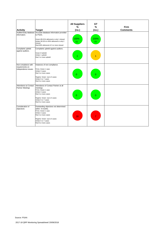| <b>Activity</b><br>Audited body database                       | <b>Target</b><br>Accurate database information provided                                                                                                                                              | <b>All Suppliers</b><br>%<br>(no.) | <b>GT</b><br>%<br>(no.) | <b>Firm</b><br><b>Comments</b> |
|----------------------------------------------------------------|------------------------------------------------------------------------------------------------------------------------------------------------------------------------------------------------------|------------------------------------|-------------------------|--------------------------------|
| information.                                                   | to PSAA.<br>Green>95.01% delivered or only 1 missed<br>Amber 90.01% to 95% delivered or only 2<br>missed<br>Red<90% delivered of 3 or more missed                                                    | 100%<br>(1)                        | 100%<br>(1)             |                                |
| Complaints upheld<br>against auditors.                         | Complaints upheld against auditors.<br>Green 0 Upheld<br>Amber 1 upheld<br>Red 2 or more upheld                                                                                                      |                                    |                         |                                |
| Non-compliance with<br>requirements on<br>independence issues. | Instances of non-compliance.<br>Firms: Green 1 case<br>Amber 2 cases<br>Red 3 or more cases<br>Regime: Green Up to 5 cases<br>Amber 6 or 7 cases<br>Red 8 or more cases                              | $\Omega$                           | $\overline{0}$          |                                |
| Attendance at Contact<br>Partner Meetings                      | Attendance of Contact Partner at all<br>meetings.<br>Firms: Green 1 case<br>Amber 2 cases<br>Red 3 or more cases<br>Regime: Green Up to 5 cases<br>Amber 6 or 7 cases<br>Red 8 or more cases         | $\overline{0}$                     | $\mathbf{0}$            |                                |
| Consideration of<br>objections                                 | Outstanding objections not determined<br>within 9 months.<br>Firms: Green 1 case<br>Amber 2 cases<br>Red 3 or more cases<br>Regime: Green Up to 5 cases<br>Amber 6 or 7 cases<br>Red 8 or more cases | 28                                 |                         |                                |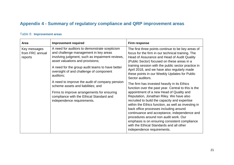## **Appendix 4 - Summary of regulatory compliance and QRP improvement areas**

#### Table 8: **Improvement areas**

| Area                                                                                                                                                                                                                                                                                                                                   | <b>Improvement required</b>                                                                                                                                                                                                                                                                                                                                                      | Firm response                                                                                                                                                                                                                                                                                                                                                                                                                                                                                                                                                    |
|----------------------------------------------------------------------------------------------------------------------------------------------------------------------------------------------------------------------------------------------------------------------------------------------------------------------------------------|----------------------------------------------------------------------------------------------------------------------------------------------------------------------------------------------------------------------------------------------------------------------------------------------------------------------------------------------------------------------------------|------------------------------------------------------------------------------------------------------------------------------------------------------------------------------------------------------------------------------------------------------------------------------------------------------------------------------------------------------------------------------------------------------------------------------------------------------------------------------------------------------------------------------------------------------------------|
| A need for auditors to demonstrate scepticism<br>Key messages<br>and challenge management in key areas<br>from FRC annual<br>involving judgment, such as impairment reviews,<br>reports<br>asset valuations and provisions;<br>A need for the group audit teams to have better<br>oversight of and challenge of component<br>auditors; | The first three points continue to be key areas of<br>focus for the firm in our technical training. The<br>Head of Assurance and Head of Audit Quality<br>(Public Sector) focused on these areas in a<br>training session with the public sector practice in<br>April 2018, and we have also regularly made<br>these points in our Weekly Updates for Public<br>Sector auditors. |                                                                                                                                                                                                                                                                                                                                                                                                                                                                                                                                                                  |
|                                                                                                                                                                                                                                                                                                                                        | A need to improve the audit of company pension<br>scheme assets and liabilities; and<br>Firms to improve arrangements for ensuring<br>compliance with the Ethical Standard and<br>independence requirements.                                                                                                                                                                     | The firm has invested heavily in its Ethics<br>function over the past year. Central to this is the<br>appointment of a new Head of Quality and<br>Reputation, Jonathan Riley. We have also<br>recruited to build the capacity and expertise<br>within the Ethics function, as well as investing in<br>back office processes including around<br>continuance and acceptance, independence and<br>procedures around non audit work. Our<br>emphasis is on ensuring consistent compliance<br>with the Ethical Standards and all other<br>independence requirements. |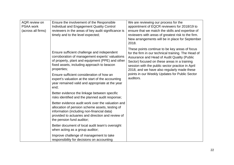| AQR review on<br><b>PSAA work</b><br>(across all firms) | Ensure the involvement of the Responsible<br>Individual and Engagement Quality Control<br>reviewers in the areas of key audit significance is<br>timely and to the level expected;                                                   | We are reviewing our process for the<br>appointment of EQCR reviewers for 2018/19 to<br>ensure that we match the skills and expertise of<br>reviewers with areas of greatest risk to the firm.<br>New arrangements will be in place for September<br>2018.                                              |
|---------------------------------------------------------|--------------------------------------------------------------------------------------------------------------------------------------------------------------------------------------------------------------------------------------|---------------------------------------------------------------------------------------------------------------------------------------------------------------------------------------------------------------------------------------------------------------------------------------------------------|
|                                                         | Ensure sufficient challenge and independent<br>corroboration of management experts' valuations<br>of property, plant and equipment (PPE) and other<br>fixed assets, including approach to beacon<br>properties;                      | These points continue to be key areas of focus<br>for the firm in our technical training. The Head of<br>Assurance and Head of Audit Quality (Public<br>Sector) focused on these areas in a training<br>session with the public sector practice in April<br>2018, and we have also regularly made these |
|                                                         | Ensure sufficient consideration of how an<br>expert's valuation at the start of the accounting<br>year remained valid and appropriate at the year<br>end;                                                                            | points in our Weekly Updates for Public Sector<br>auditors.                                                                                                                                                                                                                                             |
|                                                         | Better evidence the linkage between specific<br>risks identified and the planned audit response;                                                                                                                                     |                                                                                                                                                                                                                                                                                                         |
|                                                         | Better evidence audit work over the valuation and<br>allocation of pension scheme assets, testing of<br>information (including non-financial data)<br>provided to actuaries and direction and review of<br>the pension fund auditor; |                                                                                                                                                                                                                                                                                                         |
|                                                         | Better document of local audit team's oversight<br>when acting as a group auditor;                                                                                                                                                   |                                                                                                                                                                                                                                                                                                         |
|                                                         | Improve challenge of management to take<br>responsibility for decisions on accounting                                                                                                                                                |                                                                                                                                                                                                                                                                                                         |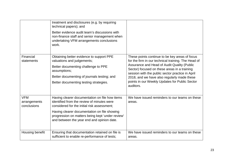|                                           | treatment and disclosures (e.g. by requiring<br>technical papers); and<br>Better evidence audit team's discussions with<br>non-finance staff and senior management when<br>undertaking VFM arrangements conclusions<br>work.                                                                  |                                                                                                                                                                                                                                                                                                                                                                        |
|-------------------------------------------|-----------------------------------------------------------------------------------------------------------------------------------------------------------------------------------------------------------------------------------------------------------------------------------------------|------------------------------------------------------------------------------------------------------------------------------------------------------------------------------------------------------------------------------------------------------------------------------------------------------------------------------------------------------------------------|
| Financial<br>statements                   | Obtaining better evidence to support PPE<br>valuations and judgements;<br>Better documenting challenge to PPE<br>assumptions;<br>Better documenting of journals testing; and<br>Better documenting testing strategies.                                                                        | These points continue to be key areas of focus<br>for the firm in our technical training. The Head of<br>Assurance and Head of Audit Quality (Public<br>Sector) focused on these areas in a training<br>session with the public sector practice in April<br>2018, and we have also regularly made these<br>points in our Weekly Updates for Public Sector<br>auditors. |
| <b>VFM</b><br>arrangements<br>conclusions | Having clearer documentation on file how items<br>identified from the review of minutes were<br>considered for the initial risk assessment;<br>Having clearer documentation on file showing<br>progression on matters being kept 'under review'<br>and between the year end and opinion date. | We have issued reminders to our teams on these<br>areas.                                                                                                                                                                                                                                                                                                               |
| Housing benefit                           | Ensuring that documentation retained on file is<br>sufficient to enable re-performance of tests;                                                                                                                                                                                              | We have issued reminders to our teams on these<br>areas.                                                                                                                                                                                                                                                                                                               |